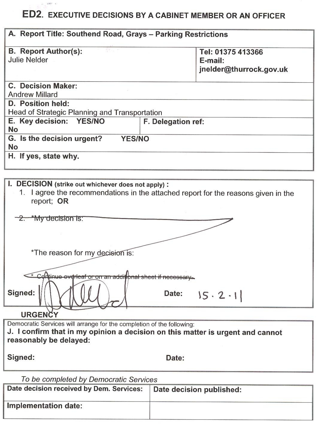# ED2. EXECUTIVE DECISIONS BY A CABINET MEMBER OR AN OFFICER

 $\label{eq:1} \omega_{\rm{eff}} = 0.0007 \quad \mathrm{eV}$ 

| A. Report Title: Southend Road, Grays - Parking Restrictions                                                                                           |                                                         |
|--------------------------------------------------------------------------------------------------------------------------------------------------------|---------------------------------------------------------|
| <b>B. Report Author(s):</b><br><b>Julie Nelder</b>                                                                                                     | Tel: 01375 413366<br>E-mail:<br>jnelder@thurrock.gov.uk |
|                                                                                                                                                        |                                                         |
| C. Decision Maker:<br><b>Andrew Millard</b>                                                                                                            |                                                         |
| D. Position held:                                                                                                                                      |                                                         |
| Head of Strategic Planning and Transportation                                                                                                          |                                                         |
| E. Key decision: YES/NO<br>No                                                                                                                          | F. Delegation ref:                                      |
| G. Is the decision urgent?<br><b>YES/NO</b><br>No                                                                                                      |                                                         |
| H. If yes, state why.                                                                                                                                  |                                                         |
|                                                                                                                                                        |                                                         |
| I. DECISION (strike out whichever does not apply):<br>1. I agree the recommendations in the attached report for the reasons given in the<br>report; OR |                                                         |
| $2.$ *My decision is:                                                                                                                                  |                                                         |
|                                                                                                                                                        |                                                         |
|                                                                                                                                                        |                                                         |
| *The reason for my decision is:                                                                                                                        |                                                         |
|                                                                                                                                                        |                                                         |
| * Continue everleaf or on an additional sheet if necessary.                                                                                            |                                                         |
| Signed:                                                                                                                                                | Date:<br>$15 \cdot 2 \cdot$                             |
| <b>URGENCY</b>                                                                                                                                         |                                                         |
| Democratic Services will arrange for the completion of the following:                                                                                  |                                                         |
| J. I confirm that in my opinion a decision on this matter is urgent and cannot                                                                         |                                                         |
| reasonably be delayed:                                                                                                                                 |                                                         |
| Signed:                                                                                                                                                | Date:                                                   |
| To be completed by Democratic Services                                                                                                                 |                                                         |
| Date decision received by Dem. Services:                                                                                                               | Date decision published:                                |
| Implementation date:                                                                                                                                   |                                                         |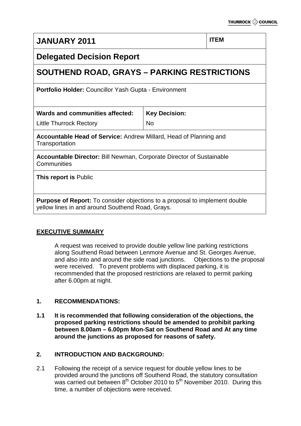# **JANUARY 2011 ITEM**

# **Delegated Decision Report**

# **SOUTHEND ROAD, GRAYS – PARKING RESTRICTIONS**

**Portfolio Holder:** Councillor Yash Gupta - Environment

**Wards and communities affected:**

Little Thurrock Rectory

**Key Decision:** No

**Accountable Head of Service:** Andrew Millard, Head of Planning and **Transportation** 

**Accountable Director:** Bill Newman, Corporate Director of Sustainable **Communities** 

**This report is** Public

**Purpose of Report:** To consider objections to a proposal to implement double yellow lines in and around Southend Road, Grays.

# **EXECUTIVE SUMMARY**

A request was received to provide double yellow line parking restrictions along Southend Road between Lenmore Avenue and St. Georges Avenue, and also into and around the side road junctions. Objections to the proposal were received. To prevent problems with displaced parking, it is recommended that the proposed restrictions are relaxed to permit parking after 6.00pm at night.

# **1. RECOMMENDATIONS:**

**1.1 It is recommended that following consideration of the objections, the proposed parking restrictions should be amended to prohibit parking between 8.00am – 6.00pm Mon-Sat on Southend Road and At any time around the junctions as proposed for reasons of safety.** 

# **2. INTRODUCTION AND BACKGROUND:**

2.1 Following the receipt of a service request for double yellow lines to be provided around the junctions off Southend Road, the statutory consultation was carried out between  $8<sup>th</sup>$  October 2010 to  $5<sup>th</sup>$  November 2010. During this time, a number of objections were received.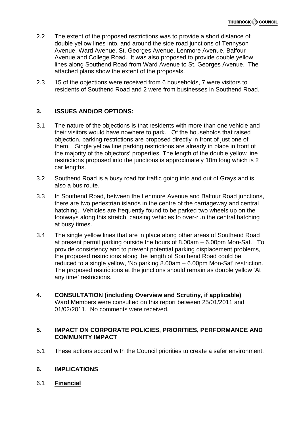- 2.2 The extent of the proposed restrictions was to provide a short distance of double yellow lines into, and around the side road junctions of Tennyson Avenue, Ward Avenue, St. Georges Avenue, Lenmore Avenue, Balfour Avenue and College Road. It was also proposed to provide double yellow lines along Southend Road from Ward Avenue to St. Georges Avenue. The attached plans show the extent of the proposals.
- 2.3 15 of the objections were received from 6 households, 7 were visitors to residents of Southend Road and 2 were from businesses in Southend Road.

# **3. ISSUES AND/OR OPTIONS:**

- 3.1 The nature of the objections is that residents with more than one vehicle and their visitors would have nowhere to park. Of the households that raised objection, parking restrictions are proposed directly in front of just one of them. Single yellow line parking restrictions are already in place in front of the majority of the objectors' properties. The length of the double yellow line restrictions proposed into the junctions is approximately 10m long which is 2 car lengths.
- 3.2 Southend Road is a busy road for traffic going into and out of Grays and is also a bus route.
- 3.3 In Southend Road, between the Lenmore Avenue and Balfour Road junctions, there are two pedestrian islands in the centre of the carriageway and central hatching. Vehicles are frequently found to be parked two wheels up on the footways along this stretch, causing vehicles to over-run the central hatching at busy times.
- 3.4 The single yellow lines that are in place along other areas of Southend Road at present permit parking outside the hours of 8.00am – 6.00pm Mon-Sat. To provide consistency and to prevent potential parking displacement problems, the proposed restrictions along the length of Southend Road could be reduced to a single yellow, 'No parking 8.00am – 6.00pm Mon-Sat' restriction. The proposed restrictions at the junctions should remain as double yellow 'At any time' restrictions.
- **4. CONSULTATION (including Overview and Scrutiny, if applicable)**  Ward Members were consulted on this report between 25/01/2011 and 01/02/2011. No comments were received.

#### **5. IMPACT ON CORPORATE POLICIES, PRIORITIES, PERFORMANCE AND COMMUNITY IMPACT**

5.1 These actions accord with the Council priorities to create a safer environment.

# **6. IMPLICATIONS**

6.1 **Financial**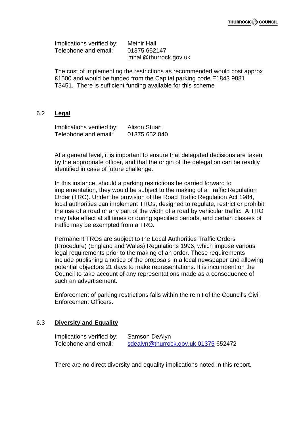Implications verified by: Meinir Hall Telephone and email: 01375 652147 mhall@thurrock.gov.uk

The cost of implementing the restrictions as recommended would cost approx £1500 and would be funded from the Capital parking code E1843 9881 T3451. There is sufficient funding available for this scheme

#### 6.2 **Legal**

Implications verified by: Alison Stuart Telephone and email: 01375 652 040

At a general level, it is important to ensure that delegated decisions are taken by the appropriate officer, and that the origin of the delegation can be readily identified in case of future challenge.

In this instance, should a parking restrictions be carried forward to implementation, they would be subject to the making of a Traffic Regulation Order (TRO). Under the provision of the Road Traffic Regulation Act 1984, local authorities can implement TROs, designed to regulate, restrict or prohibit the use of a road or any part of the width of a road by vehicular traffic. A TRO may take effect at all times or during specified periods, and certain classes of traffic may be exempted from a TRO.

Permanent TROs are subject to the Local Authorities Traffic Orders (Procedure) (England and Wales) Regulations 1996, which impose various legal requirements prior to the making of an order. These requirements include publishing a notice of the proposals in a local newspaper and allowing potential objectors 21 days to make representations. It is incumbent on the Council to take account of any representations made as a consequence of such an advertisement.

Enforcement of parking restrictions falls within the remit of the Council's Civil Enforcement Officers.

#### 6.3 **Diversity and Equality**

Implications verified by: Samson DeAlyn Telephone and email: [sdealyn@thurrock.gov.uk 01375](mailto:sdealyn@thurrock.gov.uk%2001375) 652472

There are no direct diversity and equality implications noted in this report.